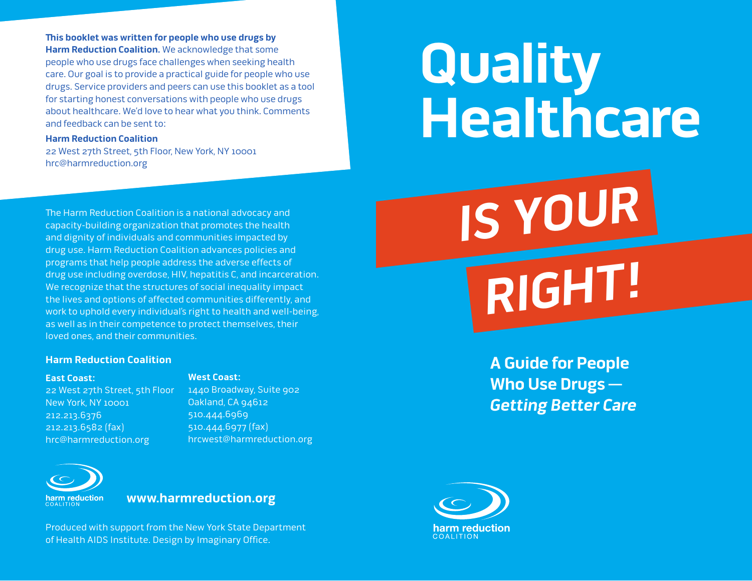**This booklet was written for people who use drugs by Harm Reduction Coalition.** We acknowledge that some people who use drugs face challenges when seeking health care. Our goal is to provide a practical guide for people who use drugs. Service providers and peers can use this booklet as a tool for starting honest conversations with people who use drugs about healthcare. We'd love to hear what you think. Comments and feedback can be sent to:

#### **Harm Reduction Coalition**

22 West 27th Street, 5th Floor, New York, NY 10001 hrc@harmreduction.org

#### The Harm Reduction Coalition is a national advocacy and capacity-building organization that promotes the health and dignity of individuals and communities impacted by drug use. Harm Reduction Coalition advances policies and programs that help people address the adverse effects of drug use including overdose, HIV, hepatitis C, and incarceration. We recognize that the structures of social inequality impact the lives and options of affected communities differently, and work to uphold every individual's right to health and well-being, as well as in their competence to protect themselves, their loved ones, and their communities.

#### **Harm Reduction Coalition**

#### **East Coast:**

#### **West Coast:**

22 West 27th Street, 5th Floor New York, NY 10001 212.213.6376 212.213.6582 (fax) hrc@harmreduction.org

1440 Broadway, Suite 902 Oakland, CA 94612 510.444.6969 510.444.6977 (fax) hrcwest@harmreduction.org



**www.harmreduction.org**

Produced with support from the New York State Department of Health AIDS Institute. Design by Imaginary Office.

# **Quality Healthcare**

**IS YOUR**

**RIGHT!**

**A Guide for People Who Use Drugs — Getting Better Care**

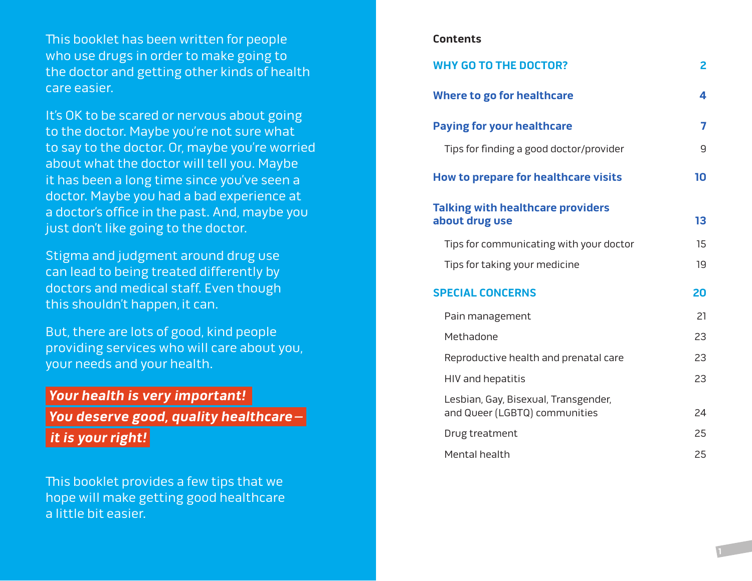This booklet has been written for people who use drugs in order to make going to the doctor and getting other kinds of health care easier.

It's OK to be scared or nervous about going to the doctor. Maybe you're not sure what to say to the doctor. Or, maybe you're worried about what the doctor will tell you. Maybe it has been a long time since you've seen a doctor. Maybe you had a bad experience at a doctor's office in the past. And, maybe you just don't like going to the doctor.

Stigma and judgment around drug use can lead to being treated differently by doctors and medical staff. Even though this shouldn't happen, it can.

But, there are lots of good, kind people providing services who will care about you, your needs and your health.

# **Your health is very important!**

 **You deserve good, quality healthcare–** 

**it is your right!** 

This booklet provides a few tips that we hope will make getting good healthcare a little bit easier.

#### **Contents**

| <b>WHY GO TO THE DOCTOR?</b>                                          | $\mathbf{2}$ |
|-----------------------------------------------------------------------|--------------|
| <b>Where to go for healthcare</b>                                     | 4            |
| <b>Paying for your healthcare</b>                                     | 7            |
| Tips for finding a good doctor/provider                               | 9            |
| <b>How to prepare for healthcare visits</b>                           | 10           |
| <b>Talking with healthcare providers</b><br>about drug use            | 13           |
| Tips for communicating with your doctor                               | 15           |
| Tips for taking your medicine                                         | 19           |
| <b>SPECIAL CONCERNS</b>                                               | 20           |
| Pain management                                                       | 21           |
| Methadone                                                             | 23           |
| Reproductive health and prenatal care                                 | 23           |
| HIV and hepatitis                                                     | 23           |
| Lesbian, Gay, Bisexual, Transgender,<br>and Queer (LGBTQ) communities | 24           |
| Drug treatment                                                        | 25           |
| Mental health                                                         | 25           |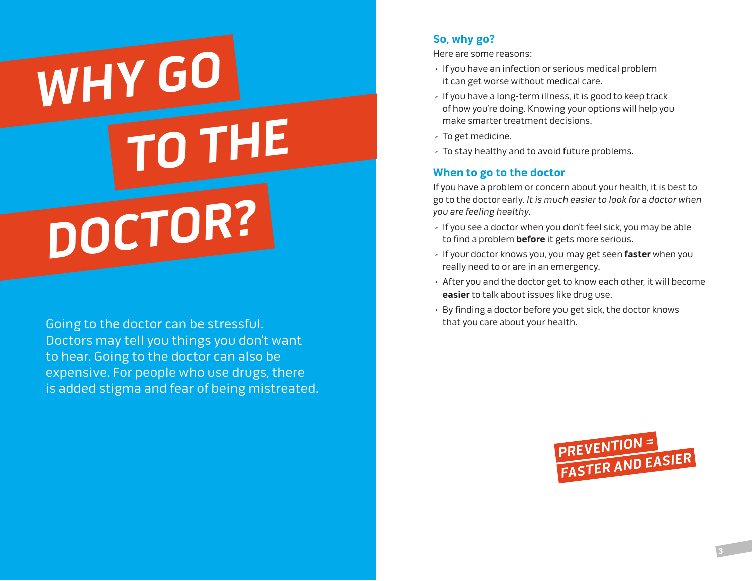# **WHY GO DOCTOR? TO THE**

Going to the doctor can be stressful. The summan of that you care about your health. Doctors may tell you things you don't want to hear. Going to the doctor can also be expensive. For people who use drugs, there is added stigma and fear of being mistreated.

# **So, why go?**

Here are some reasons:

- > If you have an infection or serious medical problem it can get worse without medical care.
- > If you have a long-term illness, it is good to keep track of how you're doing. Knowing your options will help you make smarter treatment decisions.
- > To get medicine.
- > To stay healthy and to avoid future problems.

# **When to go to the doctor**

If you have a problem or concern about your health, it is best to go to the doctor early. It is much easier to look for a doctor when you are feeling healthy.

- > If you see a doctor when you don't feel sick, you may be able to find a problem **before** it gets more serious.
- > If your doctor knows you, you may get seen **faster** when you really need to or are in an emergency.
- > After you and the doctor get to know each other, it will become **easier** to talk about issues like drug use.
- > By finding a doctor before you get sick, the doctor knows

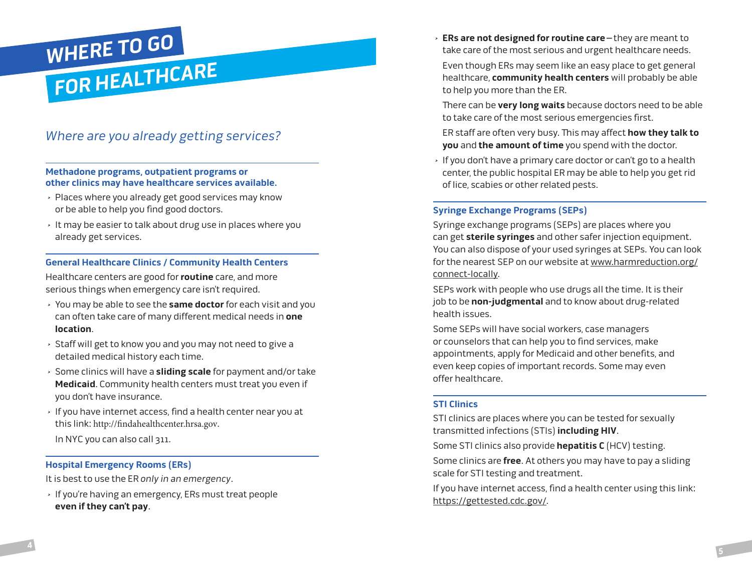

# Where are you already getting services?

#### **Methadone programs, outpatient programs or other clinics may have healthcare services available.**

- > Places where you already get good services may know or be able to help you find good doctors.
- > It may be easier to talk about drug use in places where you already get services.

#### **General Healthcare Clinics / Community Health Centers**

Healthcare centers are good for **routine** care, and more serious things when emergency care isn't required.

- > You may be able to see the **same doctor** for each visit and you can often take care of many different medical needs in **one location**.
- > Staff will get to know you and you may not need to give a detailed medical history each time.
- > Some clinics will have a **sliding scale** for payment and/or take **Medicaid**. Community health centers must treat you even if you don't have insurance.
- > If you have internet access, find a health center near you at this link: http://findahealthcenter.hrsa.gov.
- In NYC you can also call 311.

#### **Hospital Emergency Rooms (ERs)**

It is best to use the ER only in an emergency.

> If you're having an emergency, ERs must treat people **even if they can't pay**.

> **ERs are not designed for routine care–**they are meant to take care of the most serious and urgent healthcare needs.

Even though ERs may seem like an easy place to get general healthcare, **community health centers** will probably be able to help you more than the ER.

There can be **very long waits** because doctors need to be able to take care of the most serious emergencies first.

ER staff are often very busy. This may affect **how they talk to you** and **the amount of time** you spend with the doctor.

> If you don't have a primary care doctor or can't go to a health center, the public hospital ER may be able to help you get rid of lice, scabies or other related pests.

#### **Syringe Exchange Programs (SEPs)**

Syringe exchange programs (SEPs) are places where you can get **sterile syringes** and other safer injection equipment. You can also dispose of your used syringes at SEPs. You can look for the nearest SEP on our website at www.harmreduction.org/ connect-locally.

SEPs work with people who use drugs all the time. It is their job to be **non-judgmental** and to know about drug-related health issues.

Some SEPs will have social workers, case managers or counselors that can help you to find services, make appointments, apply for Medicaid and other benefits, and even keep copies of important records. Some may even offer healthcare.

#### **STI Clinics**

STI clinics are places where you can be tested for sexually transmitted infections (STIs) **including HIV**.

Some STI clinics also provide **hepatitis C** (HCV) testing.

Some clinics are **free**. At others you may have to pay a sliding scale for STI testing and treatment.

If you have internet access, find a health center using this link: https://gettested.cdc.gov/.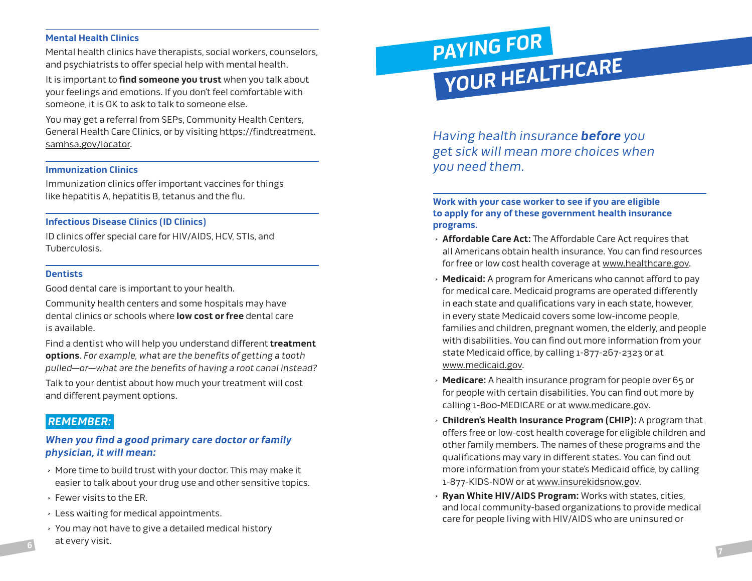#### **Mental Health Clinics**

Mental health clinics have therapists, social workers, counselors, and psychiatrists to offer special help with mental health.

It is important to **find someone you trust** when you talk about your feelings and emotions. If you don't feel comfortable with someone, it is OK to ask to talk to someone else.

You may get a referral from SEPs, Community Health Centers, General Health Care Clinics, or by visiting https://findtreatment. samhsa.gov/locator.

#### **Immunization Clinics**

Immunization clinics offer important vaccines for things like hepatitis A, hepatitis B, tetanus and the flu.

#### **Infectious Disease Clinics (ID Clinics)**

ID clinics offer special care for HIV/AIDS, HCV, STIs, and Tuberculosis.

#### **Dentists**

Good dental care is important to your health.

Community health centers and some hospitals may have dental clinics or schools where **low cost or free** dental care is available.

Find a dentist who will help you understand different **treatment options**. For example, what are the benefits of getting a tooth pulled—or—what are the benefits of having a root canal instead?

Talk to your dentist about how much your treatment will cost and different payment options.

### **REMEMBER:**

#### **When you find a good primary care doctor or family physician, it will mean:**

- > More time to build trust with your doctor. This may make it easier to talk about your drug use and other sensitive topics.
- > Fewer visits to the ER.
- > Less waiting for medical appointments.
- > You may not have to give a detailed medical history at every visit.

# **PAYING FOR YOUR HEALTHCARE**

Having health insurance **before** you get sick will mean more choices when you need them.

**Work with your case worker to see if you are eligible to apply for any of these government health insurance programs.** 

- > **Affordable Care Act:** The Affordable Care Act requires that all Americans obtain health insurance. You can find resources for free or low cost health coverage at www.healthcare.gov.
- > **Medicaid:** A program for Americans who cannot afford to pay for medical care. Medicaid programs are operated differently in each state and qualifications vary in each state, however, in every state Medicaid covers some low-income people, families and children, pregnant women, the elderly, and people with disabilities. You can find out more information from your state Medicaid office, by calling 1-877-267-2323 or at www.medicaid.gov.
- > **Medicare:** A health insurance program for people over 65 or for people with certain disabilities. You can find out more by calling 1-800-MEDICARE or at www.medicare.gov.
- > **Children's Health Insurance Program (CHIP):** A program that offers free or low-cost health coverage for eligible children and other family members. The names of these programs and the qualifications may vary in different states. You can find out more information from your state's Medicaid office, by calling 1-877-KIDS-NOW or at www.insurekidsnow.gov.
- > **Ryan White HIV/AIDS Program:** Works with states, cities, and local community-based organizations to provide medical care for people living with HIV/AIDS who are uninsured or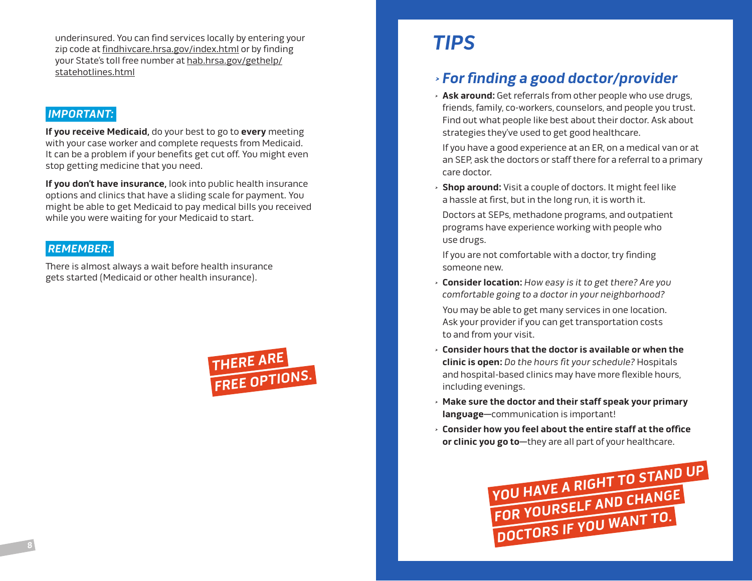underinsured. You can find services locally by entering your zip code at findhivcare.hrsa.gov/index.html or by finding your State's toll free number at hab.hrsa.gov/gethelp/ statehotlines.html

# **IMPORTANT:**

**If you receive Medicaid,** do your best to go to **every** meeting with your case worker and complete requests from Medicaid. It can be a problem if your benefits get cut off. You might even stop getting medicine that you need.

**If you don't have insurance,** look into public health insurance options and clinics that have a sliding scale for payment. You might be able to get Medicaid to pay medical bills you received while you were waiting for your Medicaid to start.

# **REMEMBER:**

There is almost always a wait before health insurance gets started (Medicaid or other health insurance).



# **TIPS**

# > **For finding a good doctor/provider**

> **Ask around:** Get referrals from other people who use drugs, friends, family, co-workers, counselors, and people you trust. Find out what people like best about their doctor. Ask about strategies they've used to get good healthcare.

If you have a good experience at an ER, on a medical van or at an SEP, ask the doctors or staff there for a referral to a primary care doctor.

> **Shop around:** Visit a couple of doctors. It might feel like a hassle at first, but in the long run, it is worth it.

Doctors at SEPs, methadone programs, and outpatient programs have experience working with people who use drugs.

If you are not comfortable with a doctor, try finding someone new.

> **Consider location:** How easy is it to get there? Are you comfortable going to a doctor in your neighborhood?

You may be able to get many services in one location. Ask your provider if you can get transportation costs to and from your visit.

- > **Consider hours that the doctor is available or when the clinic is open:** Do the hours fit your schedule? Hospitals and hospital-based clinics may have more flexible hours, including evenings.
- > **Make sure the doctor and their staff speak your primary language—**communication is important!
- > **Consider how you feel about the entire staff at the office or clinic you go to—**they are all part of your healthcare.

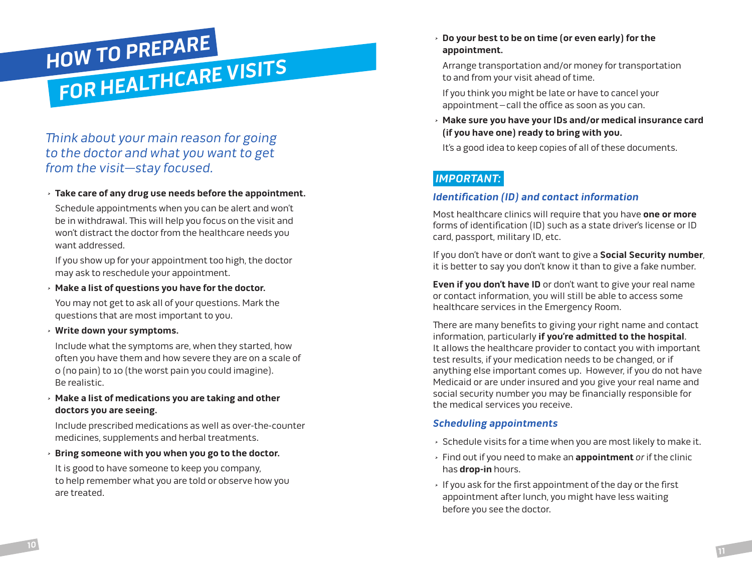# **HOW TO PREPARE FOR HEALTHCARE VISITS**

# Think about your main reason for going to the doctor and what you want to get from the visit—stay focused.

#### > **Take care of any drug use needs before the appointment.**

Schedule appointments when you can be alert and won't be in withdrawal. This will help you focus on the visit and won't distract the doctor from the healthcare needs you want addressed.

If you show up for your appointment too high, the doctor may ask to reschedule your appointment.

> **Make a list of questions you have for the doctor.**

You may not get to ask all of your questions. Mark the questions that are most important to you.

> **Write down your symptoms.**

Include what the symptoms are, when they started, how often you have them and how severe they are on a scale of 0 (no pain) to 10 (the worst pain you could imagine). Be realistic.

> **Make a list of medications you are taking and other doctors you are seeing.** 

Include prescribed medications as well as over-the-counter medicines, supplements and herbal treatments.

> **Bring someone with you when you go to the doctor.**

It is good to have someone to keep you company, to help remember what you are told or observe how you are treated.

> **Do your best to be on time (or even early) for the appointment.**

Arrange transportation and/or money for transportation to and from your visit ahead of time.

If you think you might be late or have to cancel your appointment –call the office as soon as you can.

> **Make sure you have your IDs and/or medical insurance card (if you have one) ready to bring with you.**

It's a good idea to keep copies of all of these documents.

# **IMPORTANT:**

#### **Identification (ID) and contact information**

Most healthcare clinics will require that you have **one or more** forms of identification (ID) such as a state driver's license or ID card, passport, military ID, etc.

If you don't have or don't want to give a **Social Security number**, it is better to say you don't know it than to give a fake number.

**Even if you don't have ID** or don't want to give your real name or contact information, you will still be able to access some healthcare services in the Emergency Room.

There are many benefits to giving your right name and contact information, particularly **if you're admitted to the hospital**. It allows the healthcare provider to contact you with important test results, if your medication needs to be changed, or if anything else important comes up. However, if you do not have Medicaid or are under insured and you give your real name and social security number you may be financially responsible for the medical services you receive.

#### **Scheduling appointments**

- > Schedule visits for a time when you are most likely to make it.
- > Find out if you need to make an **appointment** or if the clinic has **drop-in** hours.
- > If you ask for the first appointment of the day or the first appointment after lunch, you might have less waiting before you see the doctor.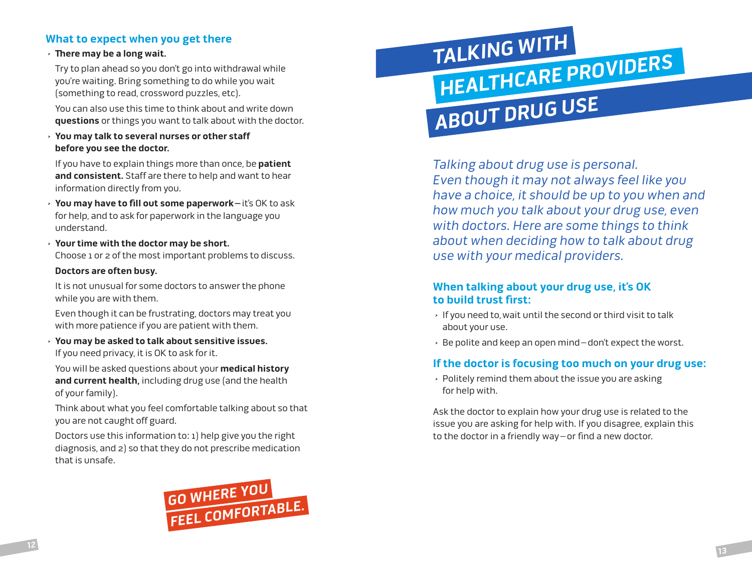# **What to expect when you get there**

#### > **There may be a long wait.**

Try to plan ahead so you don't go into withdrawal while you're waiting. Bring something to do while you wait (something to read, crossword puzzles, etc).

You can also use this time to think about and write down **questions** or things you want to talk about with the doctor.

> **You may talk to several nurses or other staff before you see the doctor.** 

If you have to explain things more than once, be **patient and consistent.** Staff are there to help and want to hear information directly from you.

- > **You may have to fill out some paperwork–**it's OK to ask for help, and to ask for paperwork in the language you understand.
- > **Your time with the doctor may be short.** Choose 1 or 2 of the most important problems to discuss.

#### **Doctors are often busy.**

It is not unusual for some doctors to answer the phone while you are with them.

Even though it can be frustrating, doctors may treat you with more patience if you are patient with them.

> **You may be asked to talk about sensitive issues.** If you need privacy, it is OK to ask for it.

You will be asked questions about your **medical history and current health,** including drug use (and the health of your family).

Think about what you feel comfortable talking about so that you are not caught off guard.

Doctors use this information to: 1) help give you the right diagnosis, and 2) so that they do not prescribe medication that is unsafe.



# **TALKING WITH ABOUT DRUG USE HEALTHCARE PROVIDERS**

Talking about drug use is personal. Even though it may not always feel like you have a choice, it should be up to you when and how much you talk about your drug use, even with doctors. Here are some things to think about when deciding how to talk about drug use with your medical providers.

# **When talking about your drug use, it's OK to build trust first:**

- > If you need to,wait until the second or third visit to talk about your use.
- > Be polite and keep an open mind–don't expect the worst.

# **If the doctor is focusing too much on your drug use:**

> Politely remind them about the issue you are asking for help with.

Ask the doctor to explain how your drug use is related to the issue you are asking for help with. If you disagree, explain this to the doctor in a friendly way–or find a new doctor.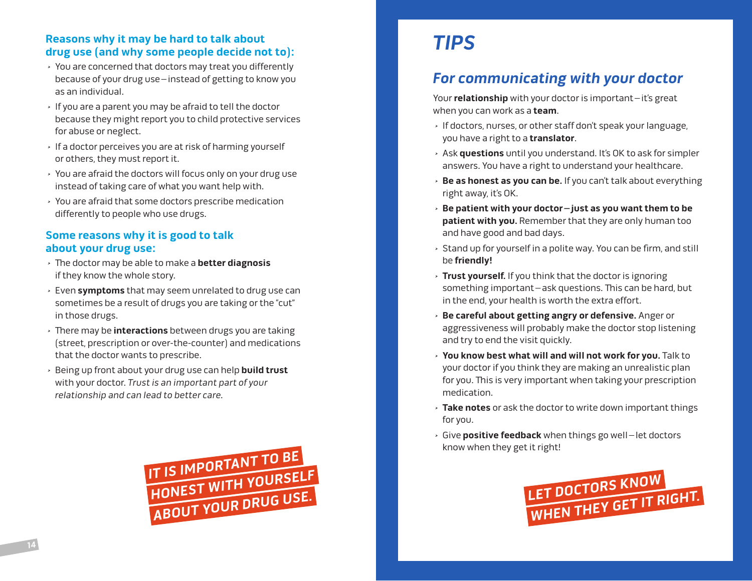# **Reasons why it may be hard to talk about drug use (and why some people decide not to):**

- > You are concerned that doctors may treat you differently because of your drug use–instead of getting to know you as an individual.
- > If you are a parent you may be afraid to tell the doctor because they might report you to child protective services for abuse or neglect.
- > If a doctor perceives you are at risk of harming yourself or others, they must report it.
- > You are afraid the doctors will focus only on your drug use instead of taking care of what you want help with.
- > You are afraid that some doctors prescribe medication differently to people who use drugs.

# **Some reasons why it is good to talk about your drug use:**

- > The doctor may be able to make a **better diagnosis** if they know the whole story.
- > Even **symptoms** that may seem unrelated to drug use can sometimes be a result of drugs you are taking or the "cut" in those drugs.
- > There may be **interactions** between drugs you are taking (street, prescription or over-the-counter) and medications that the doctor wants to prescribe.
- > Being up front about your drug use can help **build trust** with your doctor. Trust is an important part of your relationship and can lead to better care.



# **TIPS**

# **For communicating with your doctor**

Your **relationship** with your doctor is important–it's great when you can work as a **team**.

- > If doctors, nurses, or other staff don't speak your language, you have a right to a **translator**.
- > Ask **questions** until you understand. It's OK to ask for simpler answers. You have a right to understand your healthcare.
- > **Be as honest as you can be.** If you can't talk about everything right away, it's OK.
- > **Be patient with your doctor–just as you want them to be patient with you.** Remember that they are only human too and have good and bad days.
- > Stand up for yourself in a polite way. You can be firm, and still be **friendly!**
- > **Trust yourself.** If you think that the doctor is ignoring something important–ask questions. This can be hard, but in the end, your health is worth the extra effort.
- > **Be careful about getting angry or defensive.** Anger or aggressiveness will probably make the doctor stop listening and try to end the visit quickly.
- > **You know best what will and will not work for you.** Talk to your doctor if you think they are making an unrealistic plan for you. This is very important when taking your prescription medication.
- > **Take notes** or ask the doctor to write down important things for you.
- > Give **positive feedback** when things go well–let doctors know when they get it right!

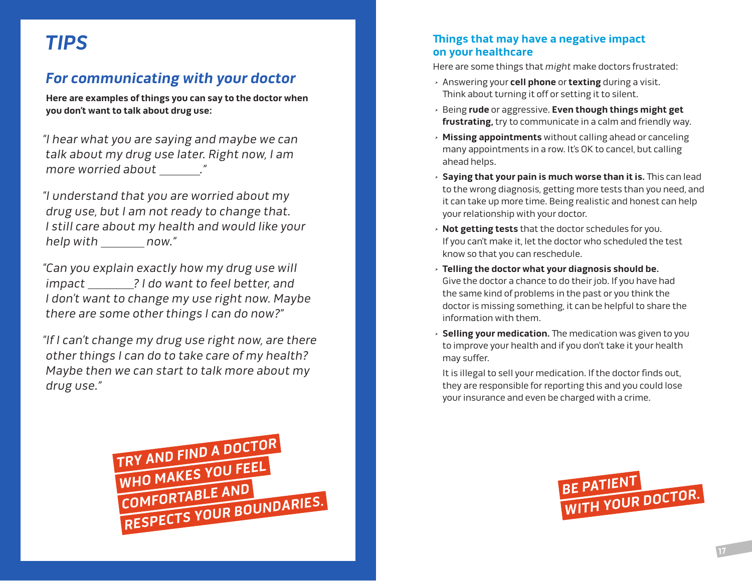# **For communicating with your doctor**

**Here are examples of things you can say to the doctor when you don't want to talk about drug use:**

"I hear what you are saying and maybe we can talk about my drug use later. Right now, I am more worried about \_\_\_\_\_\_\_."

"I understand that you are worried about my drug use, but I am not ready to change that. I still care about my health and would like your help with now."

"Can you explain exactly how my drug use will impact \_\_\_\_\_\_\_? I do want to feel better, and I don't want to change my use right now. Maybe there are some other things I can do now?"

"If I can't change my drug use right now, are there other things I can do to take care of my health? Maybe then we can start to talk more about my drug use."



# **TIPS TIPS THE on your healthcare**

Here are some things that might make doctors frustrated:

- > Answering your **cell phone** or **texting** during a visit. Think about turning it off or setting it to silent.
- > Being **rude** or aggressive. **Even though things might get frustrating,** try to communicate in a calm and friendly way.
- > **Missing appointments** without calling ahead or canceling many appointments in a row. It's OK to cancel, but calling ahead helps.
- > **Saying that your pain is much worse than it is.** This can lead to the wrong diagnosis, getting more tests than you need, and it can take up more time. Being realistic and honest can help your relationship with your doctor.
- > **Not getting tests** that the doctor schedules for you. If you can't make it, let the doctor who scheduled the test know so that you can reschedule.
- > **Telling the doctor what your diagnosis should be.** Give the doctor a chance to do their job. If you have had the same kind of problems in the past or you think the doctor is missing something, it can be helpful to share the information with them.
- > **Selling your medication.** The medication was given to you to improve your health and if you don't take it your health may suffer.

It is illegal to sell your medication. If the doctor finds out, they are responsible for reporting this and you could lose your insurance and even be charged with a crime.

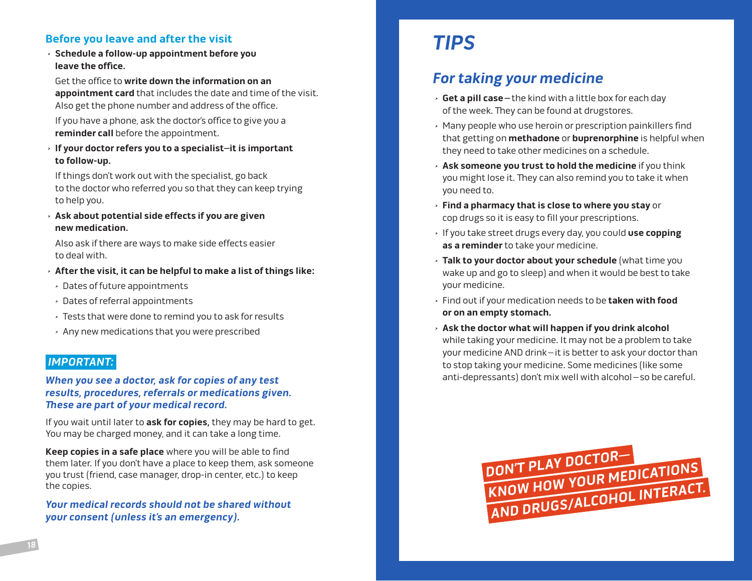# **Before you leave and after the visit Example 2 is a state of the Second TIPS**

> **Schedule a follow-up appointment before you leave the office.**

Get the office to **write down the information on an appointment card** that includes the date and time of the visit. Also get the phone number and address of the office.

If you have a phone, ask the doctor's office to give you a **reminder call** before the appointment.

> **If your doctor refers you to a specialist–it is important to follow-up.** 

If things don't work out with the specialist, go back to the doctor who referred you so that they can keep trying to help you.

> **Ask about potential side effects if you are given new medication.** 

Also ask if there are ways to make side effects easier to deal with.

- > **After the visit, it can be helpful to make a list of things like:**
- > Dates of future appointments
- > Dates of referral appointments
- > Tests that were done to remind you to ask for results
- > Any new medications that you were prescribed

#### **IMPORTANT:**

**When you see a doctor, ask for copies of any test results, procedures, referrals or medications given. These are part of your medical record.** 

If you wait until later to **ask for copies,** they may be hard to get. You may be charged money, and it can take a long time.

**Keep copies in a safe place** where you will be able to find them later. If you don't have a place to keep them, ask someone you trust (friend, case manager, drop-in center, etc.) to keep the copies.

**Your medical records should not be shared without your consent (unless it's an emergency).** 

# **For taking your medicine**

- > **Get a pill case–**the kind with a little box for each day of the week. They can be found at drugstores.
- > Many people who use heroin or prescription painkillers find that getting on **methadone** or **buprenorphine** is helpful when they need to take other medicines on a schedule.
- > **Ask someone you trust to hold the medicine** if you think you might lose it. They can also remind you to take it when you need to.
- > **Find a pharmacy that is close to where you stay** or cop drugs so it is easy to fill your prescriptions.
- > If you take street drugs every day, you could **use copping as a reminder** to take your medicine.
- > **Talk to your doctor about your schedule** (what time you wake up and go to sleep) and when it would be best to take your medicine.
- > Find out if your medication needs to be **taken with food or on an empty stomach.**
- > **Ask the doctor what will happen if you drink alcohol** while taking your medicine. It may not be a problem to take your medicine AND drink–it is better to ask your doctor than to stop taking your medicine. Some medicines (like some anti-depressants) don't mix well with alcohol–so be careful.

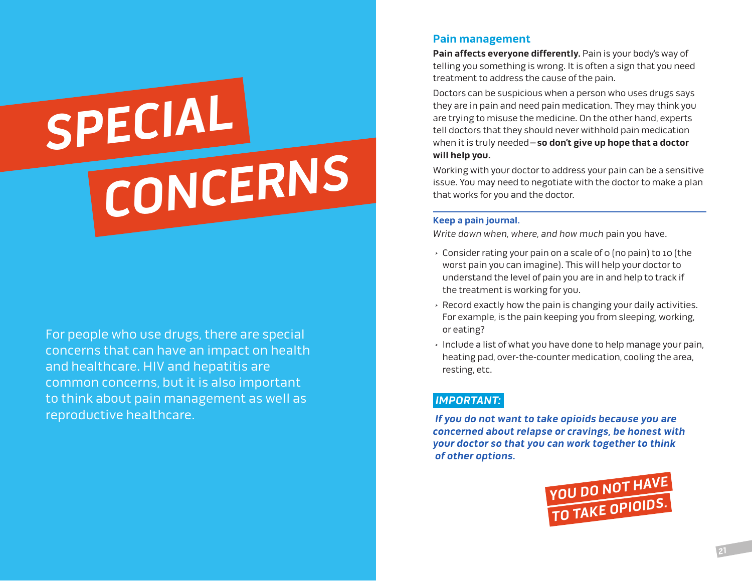# **SPECIAL CONCERNS**

For people who use drugs, there are special concerns that can have an impact on health and healthcare. HIV and hepatitis are common concerns, but it is also important to think about pain management as well as reproductive healthcare.

### **Pain management**

**Pain affects everyone differently.** Pain is your body's way of telling you something is wrong. It is often a sign that you need treatment to address the cause of the pain.

Doctors can be suspicious when a person who uses drugs says they are in pain and need pain medication. They may think you are trying to misuse the medicine. On the other hand, experts tell doctors that they should never withhold pain medication when it is truly needed**–so don't give up hope that a doctor will help you.**

Working with your doctor to address your pain can be a sensitive issue. You may need to negotiate with the doctor to make a plan that works for you and the doctor.

#### **Keep a pain journal.**

Write down when, where, and how much pain you have.

- $\rightarrow$  Consider rating your pain on a scale of 0 (no pain) to 10 (the worst pain you can imagine). This will help your doctor to understand the level of pain you are in and help to track if the treatment is working for you.
- > Record exactly how the pain is changing your daily activities. For example, is the pain keeping you from sleeping, working, or eating?
- > Include a list of what you have done to help manage your pain, heating pad, over-the-counter medication, cooling the area, resting, etc.

# **IMPORTANT:**

 **If you do not want to take opioids because you are concerned about relapse or cravings, be honest with your doctor so that you can work together to think of other options.** 

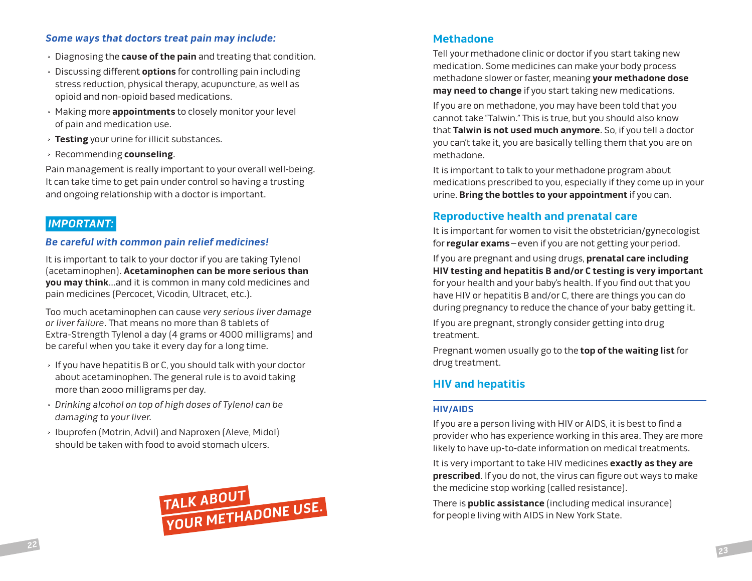#### **Some ways that doctors treat pain may include:**

- > Diagnosing the **cause of the pain** and treating that condition.
- > Discussing different **options** for controlling pain including stress reduction, physical therapy, acupuncture, as well as opioid and non-opioid based medications.
- > Making more **appointments** to closely monitor your level of pain and medication use.
- > **Testing** your urine for illicit substances.
- > Recommending **counseling**.

Pain management is really important to your overall well-being. It can take time to get pain under control so having a trusting and ongoing relationship with a doctor is important.

# **IMPORTANT:**

#### **Be careful with common pain relief medicines!**

It is important to talk to your doctor if you are taking Tylenol (acetaminophen). **Acetaminophen can be more serious than you may think**…and it is common in many cold medicines and pain medicines (Percocet, Vicodin, Ultracet, etc.).

Too much acetaminophen can cause very serious liver damage or liver failure. That means no more than 8 tablets of Extra-Strength Tylenol a day (4 grams or 4000 milligrams) and be careful when you take it every day for a long time.

- > If you have hepatitis B or C, you should talk with your doctor about acetaminophen. The general rule is to avoid taking more than 2000 milligrams per day.
- > Drinking alcohol on top of high doses of Tylenol can be damaging to your liver.
- > Ibuprofen (Motrin, Advil) and Naproxen (Aleve, Midol) should be taken with food to avoid stomach ulcers.



# **Methadone**

Tell your methadone clinic or doctor if you start taking new medication. Some medicines can make your body process methadone slower or faster, meaning **your methadone dose may need to change** if you start taking new medications.

If you are on methadone, you may have been told that you cannot take "Talwin." This is true, but you should also know that **Talwin is not used much anymore**. So, if you tell a doctor you can't take it, you are basically telling them that you are on methadone.

It is important to talk to your methadone program about medications prescribed to you, especially if they come up in your urine. **Bring the bottles to your appointment** if you can.

# **Reproductive health and prenatal care**

It is important for women to visit the obstetrician/gynecologist for **regular exams**–even if you are not getting your period.

If you are pregnant and using drugs, **prenatal care including HIV testing and hepatitis B and/or C testing is very important** for your health and your baby's health. If you find out that you have HIV or hepatitis B and/or C, there are things you can do during pregnancy to reduce the chance of your baby getting it.

If you are pregnant, strongly consider getting into drug treatment.

Pregnant women usually go to the **top of the waiting list** for drug treatment.

# **HIV and hepatitis**

#### **HIV/AIDS**

If you are a person living with HIV or AIDS, it is best to find a provider who has experience working in this area. They are more likely to have up-to-date information on medical treatments.

It is very important to take HIV medicines **exactly as they are prescribed**. If you do not, the virus can figure out ways to make the medicine stop working (called resistance).

There is **public assistance** (including medical insurance) for people living with AIDS in New York State.